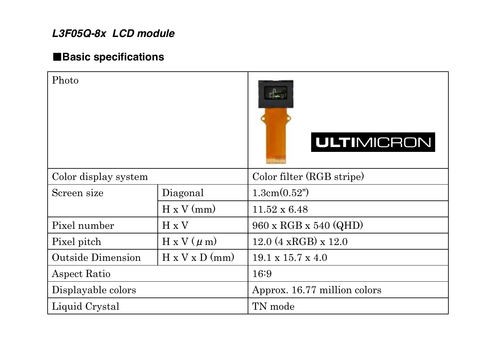## *L3F05Q-8x LCD module*

## 䂓**Basic specifications**

| Photo                    |                            | <b>ULTIMICRON</b>               |
|--------------------------|----------------------------|---------------------------------|
| Color display system     |                            | Color filter (RGB stripe)       |
| Screen size              | Diagonal                   | 1.3cm(0.52")                    |
|                          | $H \times V$ (mm)          | $11.52 \times 6.48$             |
| Pixel number             | $H \times V$               | 960 x RGB x 540 (QHD)           |
| Pixel pitch              | $H \times V$ ( $\mu$ m)    | $12.0 \text{ (4 xRGB) x } 12.0$ |
| <b>Outside Dimension</b> | $H \times V \times D$ (mm) | $19.1 \times 15.7 \times 4.0$   |
| Aspect Ratio             |                            | 16:9                            |
| Displayable colors       |                            | Approx. 16.77 million colors    |
| Liquid Crystal           |                            | TN mode                         |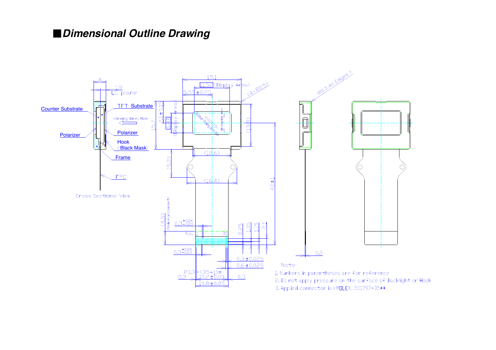#### 䂓*Dimensional Outline Drawing*